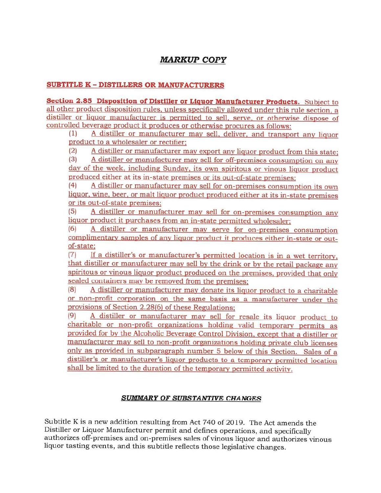# **MARKUP COPY**

### **SUBTITLE K - DISTILLERS OR MANUFACTURERS**

Section 2.85 Disposition of Distiller or Liquor Manufacturer Products. Subject to all other product disposition rules, unless specifically allowed under this rule section, a distiller or liquor manufacturer is permitted to sell, serve, or otherwise dispose of controlled beverage product it produces or otherwise procures as follows:

 $(1)$ A distiller or manufacturer may sell, deliver, and transport any liquor product to a wholesaler or rectifier;

A distiller or manufacturer may export any liquor product from this state;  $(2)$ 

 $(3)$ A distiller or manufacturer may sell for off-premises consumption on any day of the week, including Sunday, its own spiritous or vinous liquor product produced either at its in-state premises or its out-of-state premises:

 $(4)$ A distiller or manufacturer may sell for on-premises consumption its own liquor, wine, beer, or malt liquor product produced either at its in-state premises or its out-of-state premises;

A distiller or manufacturer may sell for on-premises consumption any  $(5)$ liquor product it purchases from an in-state permitted wholesaler;

A distiller or manufacturer may serve for on-premises consumption  $(6)$ complimentary samples of any liquor product it produces either in-state or outof-state:

If a distiller's or manufacturer's permitted location is in a wet territory,  $(7)$ that distiller or manufacturer may sell by the drink or by the retail package any spiritous or vinous liquor product produced on the premises, provided that only sealed containers may be removed from the premises;

 $(8)$ A distiller or manufacturer may donate its liquor product to a charitable or non-profit corporation on the same basis as a manufacturer under the provisions of Section 2.28(6) of these Regulations:

 $(9)$ A distiller or manufacturer may sell for resale its liquor product to charitable or non-profit organizations holding valid temporary permits as provided for by the Alcoholic Beverage Control Division, except that a distiller or manufacturer may sell to non-profit organizations holding private club licenses only as provided in subparagraph number 5 below of this Section. Sales of a distiller's or manufacturer's liquor products to a temporary permitted location shall be limited to the duration of the temporary permitted activity.

### **SUMMARY OF SUBSTANTIVE CHANGES**

Subtitle K is a new addition resulting from Act 740 of 2019. The Act amends the Distiller or Liquor Manufacturer permit and defines operations, and specifically authorizes off-premises and on-premises sales of vinous liquor and authorizes vinous liquor tasting events, and this subtitle reflects those legislative changes.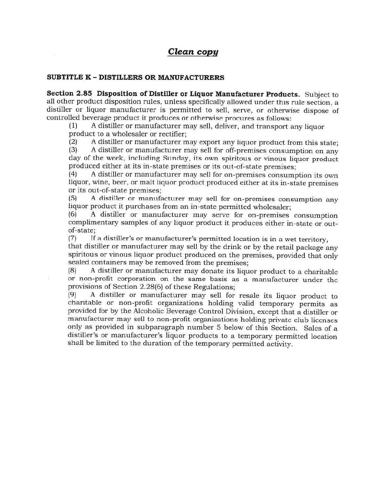# Clean copy

#### **SUBTITLE K - DISTILLERS OR MANUFACTURERS**

Section 2.85 Disposition of Distiller or Liquor Manufacturer Products. Subject to all other product disposition rules, unless specifically allowed under this rule section, a distiller or liquor manufacturer is permitted to sell, serve, or otherwise dispose of controlled beverage product it produces or otherwise procures as follows:

A distiller or manufacturer may sell, deliver, and transport any liquor  $(1)$ product to a wholesaler or rectifier;

A distiller or manufacturer may export any liquor product from this state;  $(2)$ 

 $(3)$ A distiller or manufacturer may sell for off-premises consumption on any day of the week, including Sunday, its own spiritous or vinous liquor product produced either at its in-state premises or its out-of-state premises:

A distiller or manufacturer may sell for on-premises consumption its own  $(4)$ liquor, wine, beer, or malt liquor product produced either at its in-state premises or its out-of-state premises:

A distiller or manufacturer may sell for on-premises consumption any  $(5)$ liquor product it purchases from an in-state permitted wholesaler;

A distiller or manufacturer may serve for on-premises consumption (6) complimentary samples of any liquor product it produces either in-state or outof-state;

 $(7)$ If a distiller's or manufacturer's permitted location is in a wet territory.

that distiller or manufacturer may sell by the drink or by the retail package any spiritous or vinous liquor product produced on the premises, provided that only sealed containers may be removed from the premises;

A distiller or manufacturer may donate its liquor product to a charitable  $(8)$ or non-profit corporation on the same basis as a manufacturer under the provisions of Section 2.28(6) of these Regulations;

 $(9)$ A distiller or manufacturer may sell for resale its liquor product to charitable or non-profit organizations holding valid temporary permits as provided for by the Alcoholic Beverage Control Division, except that a distiller or manufacturer may sell to non-profit organizations holding private club licenses only as provided in subparagraph number 5 below of this Section. Sales of a distiller's or manufacturer's liquor products to a temporary permitted location shall be limited to the duration of the temporary permitted activity.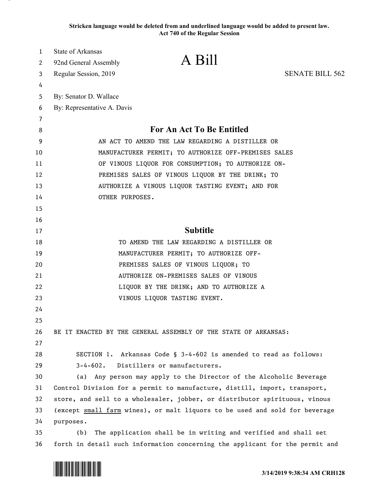**Stricken language would be deleted from and underlined language would be added to present law. Act 740 of the Regular Session**

| 1  | State of Arkansas                                                            |                                                                   |                        |
|----|------------------------------------------------------------------------------|-------------------------------------------------------------------|------------------------|
| 2  | 92nd General Assembly                                                        | A Bill                                                            |                        |
| 3  | Regular Session, 2019                                                        |                                                                   | <b>SENATE BILL 562</b> |
| 4  |                                                                              |                                                                   |                        |
| 5  | By: Senator D. Wallace                                                       |                                                                   |                        |
| 6  | By: Representative A. Davis                                                  |                                                                   |                        |
| 7  |                                                                              |                                                                   |                        |
| 8  | For An Act To Be Entitled                                                    |                                                                   |                        |
| 9  | AN ACT TO AMEND THE LAW REGARDING A DISTILLER OR                             |                                                                   |                        |
| 10 | MANUFACTURER PERMIT; TO AUTHORIZE OFF-PREMISES SALES                         |                                                                   |                        |
| 11 | OF VINOUS LIQUOR FOR CONSUMPTION; TO AUTHORIZE ON-                           |                                                                   |                        |
| 12 | PREMISES SALES OF VINOUS LIQUOR BY THE DRINK; TO                             |                                                                   |                        |
| 13 | AUTHORIZE A VINOUS LIQUOR TASTING EVENT; AND FOR                             |                                                                   |                        |
| 14 | OTHER PURPOSES.                                                              |                                                                   |                        |
| 15 |                                                                              |                                                                   |                        |
| 16 |                                                                              |                                                                   |                        |
| 17 | <b>Subtitle</b>                                                              |                                                                   |                        |
| 18 | TO AMEND THE LAW REGARDING A DISTILLER OR                                    |                                                                   |                        |
| 19 | MANUFACTURER PERMIT; TO AUTHORIZE OFF-                                       |                                                                   |                        |
| 20 | PREMISES SALES OF VINOUS LIQUOR; TO                                          |                                                                   |                        |
| 21 | AUTHORIZE ON-PREMISES SALES OF VINOUS                                        |                                                                   |                        |
| 22 | LIQUOR BY THE DRINK; AND TO AUTHORIZE A                                      |                                                                   |                        |
| 23 |                                                                              | VINOUS LIQUOR TASTING EVENT.                                      |                        |
| 24 |                                                                              |                                                                   |                        |
| 25 |                                                                              |                                                                   |                        |
| 26 | BE IT ENACTED BY THE GENERAL ASSEMBLY OF THE STATE OF ARKANSAS:              |                                                                   |                        |
| 27 |                                                                              |                                                                   |                        |
| 28 |                                                                              | SECTION 1. Arkansas Code § 3-4-602 is amended to read as follows: |                        |
| 29 | $3 - 4 - 602$ .<br>Distillers or manufacturers.                              |                                                                   |                        |
| 30 | (a) Any person may apply to the Director of the Alcoholic Beverage           |                                                                   |                        |
| 31 | Control Division for a permit to manufacture, distill, import, transport,    |                                                                   |                        |
| 32 | store, and sell to a wholesaler, jobber, or distributor spirituous, vinous   |                                                                   |                        |
| 33 | (except small farm wines), or malt liquors to be used and sold for beverage  |                                                                   |                        |
| 34 | purposes.                                                                    |                                                                   |                        |
| 35 | The application shall be in writing and verified and shall set<br>(b)        |                                                                   |                        |
| 36 | forth in detail such information concerning the applicant for the permit and |                                                                   |                        |

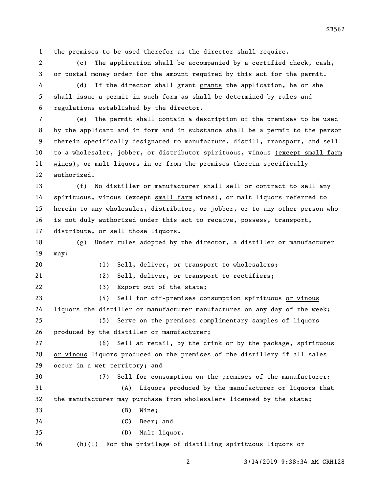the premises to be used therefor as the director shall require.

 (c) The application shall be accompanied by a certified check, cash, or postal money order for the amount required by this act for the permit.

4 (d) If the director shall grant grants the application, he or she shall issue a permit in such form as shall be determined by rules and regulations established by the director.

 (e) The permit shall contain a description of the premises to be used by the applicant and in form and in substance shall be a permit to the person therein specifically designated to manufacture, distill, transport, and sell to a wholesaler, jobber, or distributor spirituous, vinous (except small farm wines), or malt liquors in or from the premises therein specifically authorized.

 (f) No distiller or manufacturer shall sell or contract to sell any spirituous, vinous (except small farm wines), or malt liquors referred to herein to any wholesaler, distributor, or jobber, or to any other person who is not duly authorized under this act to receive, possess, transport, distribute, or sell those liquors.

 (g) Under rules adopted by the director, a distiller or manufacturer may:

(1) Sell, deliver, or transport to wholesalers;

(2) Sell, deliver, or transport to rectifiers;

22 (3) Export out of the state;

 (4) Sell for off-premises consumption spirituous or vinous liquors the distiller or manufacturer manufactures on any day of the week; (5) Serve on the premises complimentary samples of liquors produced by the distiller or manufacturer;

 (6) Sell at retail, by the drink or by the package, spirituous or vinous liquors produced on the premises of the distillery if all sales occur in a wet territory; and

(7) Sell for consumption on the premises of the manufacturer:

 (A) Liquors produced by the manufacturer or liquors that the manufacturer may purchase from wholesalers licensed by the state; (B) Wine;

(C) Beer; and

(D) Malt liquor.

(h)(1) For the privilege of distilling spirituous liquors or